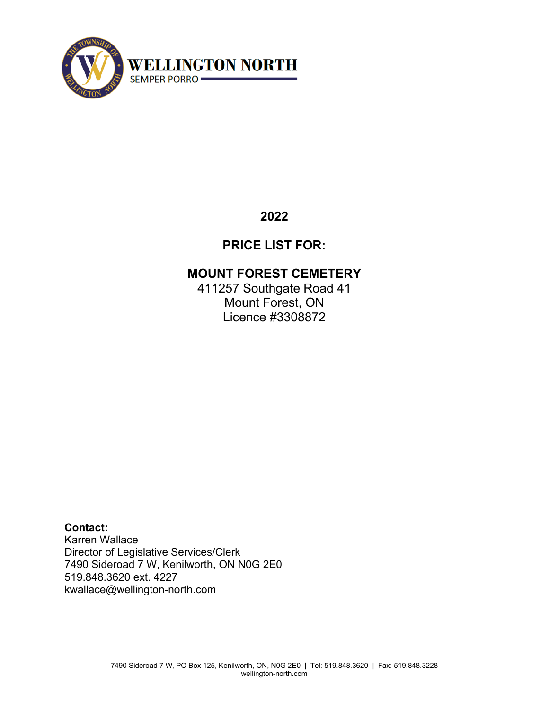

## **2022**

# **PRICE LIST FOR:**

### **MOUNT FOREST CEMETERY**

411257 Southgate Road 41 Mount Forest, ON Licence #3308872

**Contact:** Karren Wallace Director of Legislative Services/Clerk 7490 Sideroad 7 W, Kenilworth, ON N0G 2E0 519.848.3620 ext. 4227 kwallace@wellington-north.com